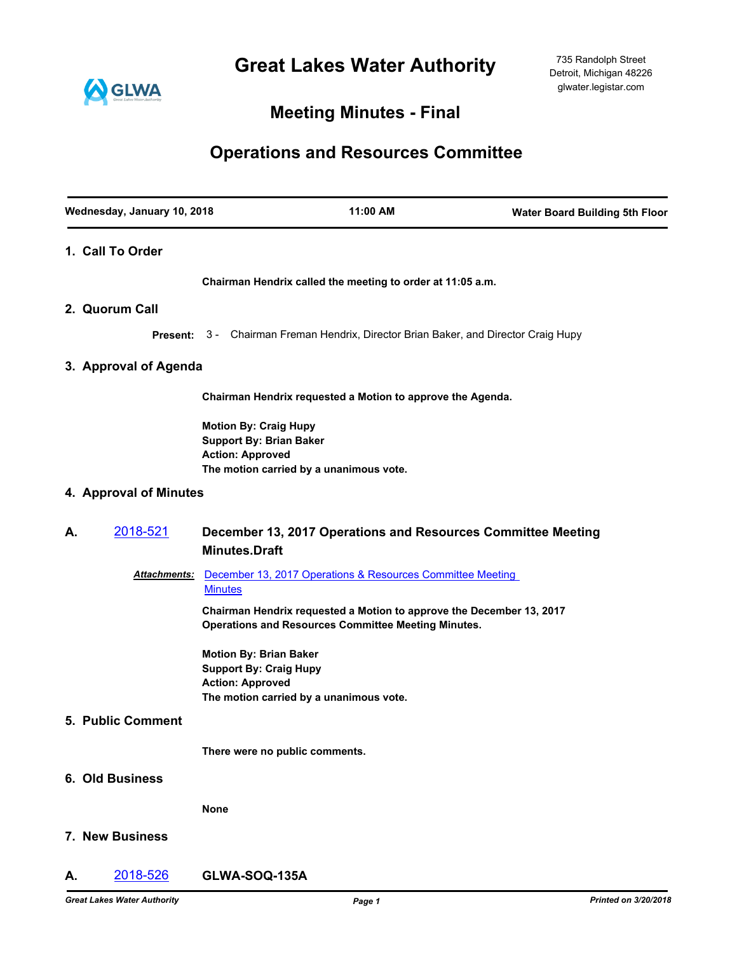**Great Lakes Water Authority**



## **Meeting Minutes - Final**

# **Operations and Resources Committee**

|    | Wednesday, January 10, 2018 | 11:00 AM                                                                                                                             | <b>Water Board Building 5th Floor</b> |
|----|-----------------------------|--------------------------------------------------------------------------------------------------------------------------------------|---------------------------------------|
|    | 1. Call To Order            |                                                                                                                                      |                                       |
|    |                             | Chairman Hendrix called the meeting to order at 11:05 a.m.                                                                           |                                       |
|    | 2. Quorum Call              |                                                                                                                                      |                                       |
|    |                             | <b>Present:</b> 3 - Chairman Freman Hendrix, Director Brian Baker, and Director Craig Hupy                                           |                                       |
|    | 3. Approval of Agenda       |                                                                                                                                      |                                       |
|    |                             | Chairman Hendrix requested a Motion to approve the Agenda.                                                                           |                                       |
|    |                             | <b>Motion By: Craig Hupy</b><br><b>Support By: Brian Baker</b><br><b>Action: Approved</b><br>The motion carried by a unanimous vote. |                                       |
|    | 4. Approval of Minutes      |                                                                                                                                      |                                       |
| А. | 2018-521                    | December 13, 2017 Operations and Resources Committee Meeting<br><b>Minutes.Draft</b>                                                 |                                       |
|    | <b>Attachments:</b>         | December 13, 2017 Operations & Resources Committee Meeting<br><b>Minutes</b>                                                         |                                       |
|    |                             | Chairman Hendrix requested a Motion to approve the December 13, 2017<br><b>Operations and Resources Committee Meeting Minutes.</b>   |                                       |
|    |                             | <b>Motion By: Brian Baker</b><br><b>Support By: Craig Hupy</b><br><b>Action: Approved</b><br>The motion carried by a unanimous vote. |                                       |
|    | <b>5. Public Comment</b>    |                                                                                                                                      |                                       |
|    |                             | There were no public comments.                                                                                                       |                                       |
|    | 6. Old Business             |                                                                                                                                      |                                       |
|    |                             | <b>None</b>                                                                                                                          |                                       |
|    | 7. New Business             |                                                                                                                                      |                                       |
| А. | 2018-526                    | GLWA-SOQ-135A                                                                                                                        |                                       |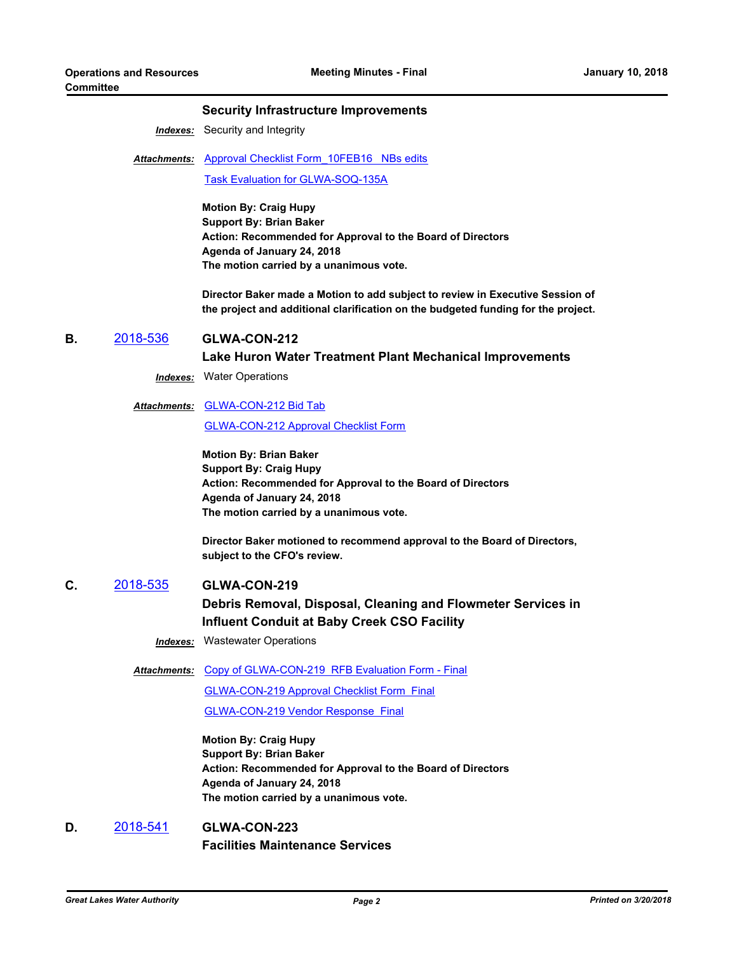### **Security Infrastructure Improvements**

*Indexes:* Security and Integrity

Attachments: Approval Checklist Form 10FEB16 NBs edits [Task Evaluation for GLWA-SOQ-135A](http://glwater.legistar.com/gateway.aspx?M=F&ID=5789af61-8fee-4cd6-ac96-6bc40b0290a0.xlsx)

> **Motion By: Craig Hupy Support By: Brian Baker Action: Recommended for Approval to the Board of Directors Agenda of January 24, 2018 The motion carried by a unanimous vote.**

**Director Baker made a Motion to add subject to review in Executive Session of the project and additional clarification on the budgeted funding for the project.**

### **B.** [2018-536](http://glwater.legistar.com/gateway.aspx?m=l&id=/matter.aspx?key=1826) **GLWA-CON-212**

### **Lake Huron Water Treatment Plant Mechanical Improvements**

*Indexes:* Water Operations

### Attachments: **[GLWA-CON-212 Bid Tab](http://glwater.legistar.com/gateway.aspx?M=F&ID=13dc0fcf-a2ca-4c5b-a1d2-9d8cb2eb2075.pdf)**

[GLWA-CON-212 Approval Checklist Form](http://glwater.legistar.com/gateway.aspx?M=F&ID=6bb1a022-89c7-4438-afc5-ba8d87c5bc70.docx)

**Motion By: Brian Baker Support By: Craig Hupy Action: Recommended for Approval to the Board of Directors Agenda of January 24, 2018 The motion carried by a unanimous vote.**

**Director Baker motioned to recommend approval to the Board of Directors, subject to the CFO's review.**

**C.** [2018-535](http://glwater.legistar.com/gateway.aspx?m=l&id=/matter.aspx?key=1825) **GLWA-CON-219 Debris Removal, Disposal, Cleaning and Flowmeter Services in Influent Conduit at Baby Creek CSO Facility**

*Indexes:* Wastewater Operations

Attachments: [Copy of GLWA-CON-219 RFB Evaluation Form - Final](http://glwater.legistar.com/gateway.aspx?M=F&ID=15b46141-dd4e-43d0-b959-cbcfdd0c8e34.xlsx)

[GLWA-CON-219 Approval Checklist Form Final](http://glwater.legistar.com/gateway.aspx?M=F&ID=8f33dfdc-c27f-407d-8e7b-63b41063741b.docx) [GLWA-CON-219 Vendor Response Final](http://glwater.legistar.com/gateway.aspx?M=F&ID=4e338ae3-74b2-4ef5-bad3-4db6efa70e97.docx)

**Motion By: Craig Hupy Support By: Brian Baker Action: Recommended for Approval to the Board of Directors Agenda of January 24, 2018 The motion carried by a unanimous vote.**

**D.** [2018-541](http://glwater.legistar.com/gateway.aspx?m=l&id=/matter.aspx?key=1831) **GLWA-CON-223 Facilities Maintenance Services**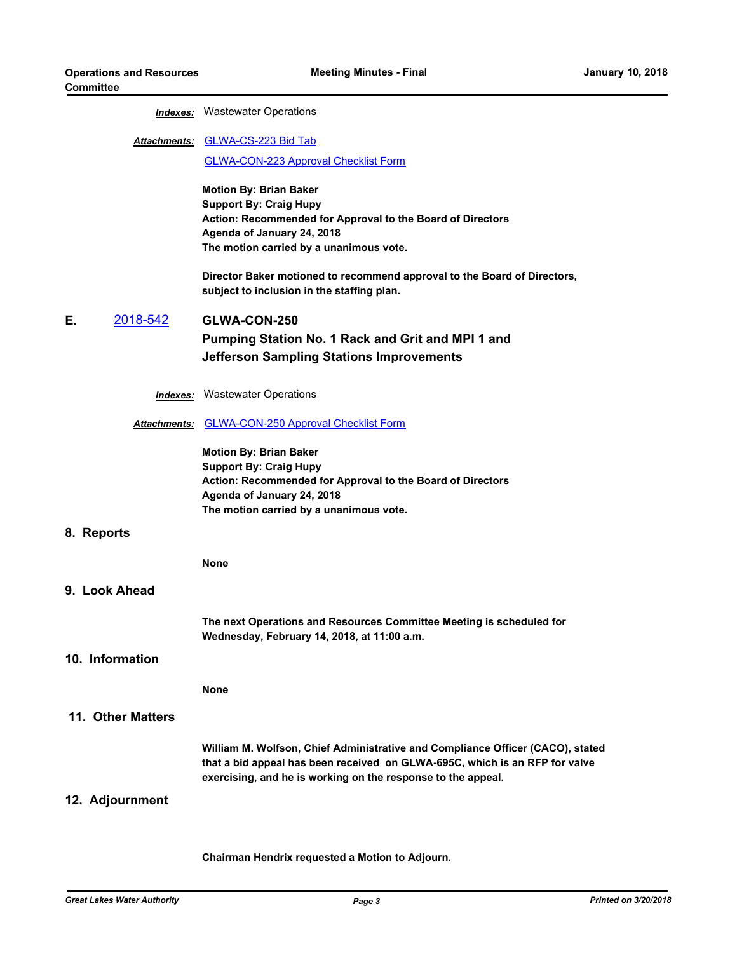### *Indexes:* Wastewater Operations

## Attachments: **[GLWA-CS-223 Bid Tab](http://glwater.legistar.com/gateway.aspx?M=F&ID=2c28dd30-1e12-4084-81d3-daad8a3413fb.pdf)**

[GLWA-CON-223 Approval Checklist Form](http://glwater.legistar.com/gateway.aspx?M=F&ID=7551be93-7e49-4fae-8904-6e65f61552e0.docx)

**Motion By: Brian Baker Support By: Craig Hupy Action: Recommended for Approval to the Board of Directors Agenda of January 24, 2018 The motion carried by a unanimous vote.**

**Director Baker motioned to recommend approval to the Board of Directors, subject to inclusion in the staffing plan.**

### **E.** [2018-542](http://glwater.legistar.com/gateway.aspx?m=l&id=/matter.aspx?key=1832) **GLWA-CON-250 Pumping Station No. 1 Rack and Grit and MPI 1 and Jefferson Sampling Stations Improvements**

*Indexes:* Wastewater Operations

### *Attachments:* [GLWA-CON-250 Approval Checklist Form](http://glwater.legistar.com/gateway.aspx?M=F&ID=13231afd-d1ea-4356-8483-ec863518c49b.docx)

**Motion By: Brian Baker Support By: Craig Hupy Action: Recommended for Approval to the Board of Directors Agenda of January 24, 2018 The motion carried by a unanimous vote.**

### **8. Reports**

**None**

### **9. Look Ahead**

**The next Operations and Resources Committee Meeting is scheduled for Wednesday, February 14, 2018, at 11:00 a.m.**

### **10. Information**

**None**

### **11. Other Matters**

**William M. Wolfson, Chief Administrative and Compliance Officer (CACO), stated that a bid appeal has been received on GLWA-695C, which is an RFP for valve exercising, and he is working on the response to the appeal.**

### **12. Adjournment**

**Chairman Hendrix requested a Motion to Adjourn.**